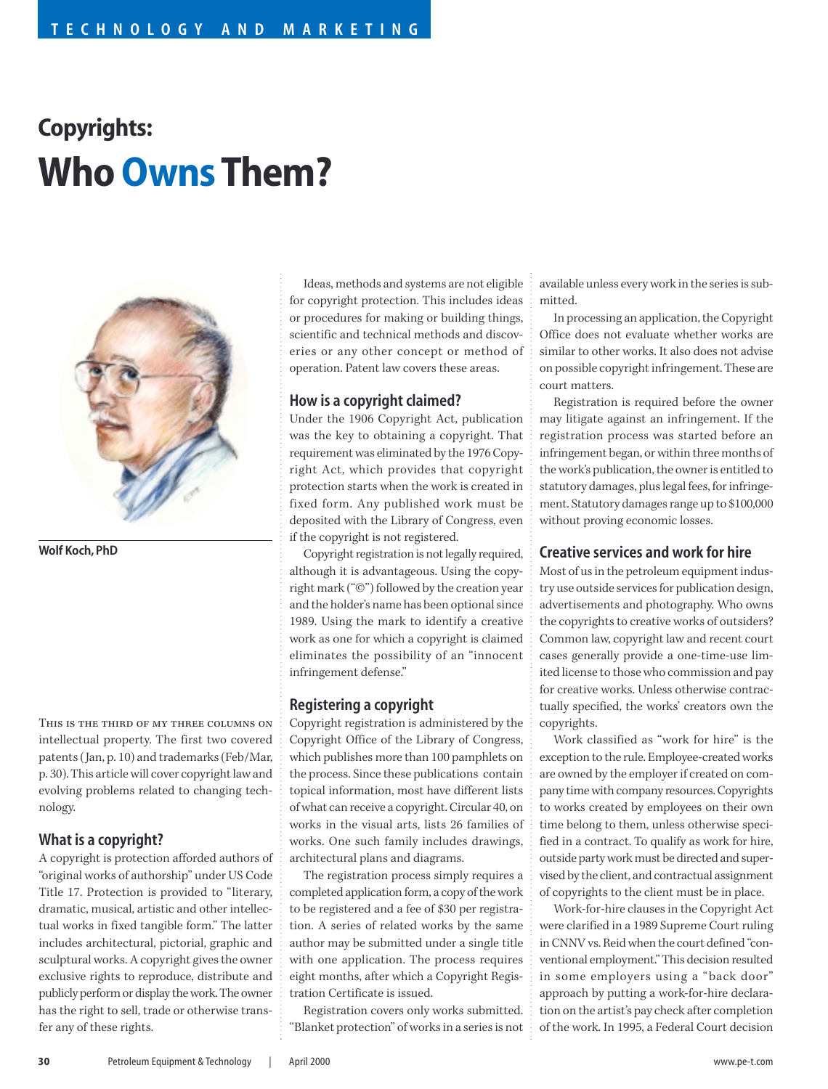# **Copyrights: Who OwnsThem?**



**Wolf Koch, PhD**

This is the third of my three columns on intellectual property. The first two covered patents (Jan, p. 10) and trademarks (Feb/Mar, p. 30). This article will cover copyright law and evolving problems related to changing technology.

# **What is a copyright?**

A copyright is protection afforded authors of "original works of authorship" under US Code Title 17. Protection is provided to "literary, dramatic, musical, artistic and other intellectual works in fixed tangible form." The latter includes architectural, pictorial, graphic and sculptural works. A copyright gives the owner exclusive rights to reproduce, distribute and publicly perform or display the work. The owner has the right to sell, trade or otherwise transfer any of these rights.

Ideas, methods and systems are not eligible for copyright protection. This includes ideas or procedures for making or building things, scientific and technical methods and discoveries or any other concept or method of operation. Patent law covers these areas.

# **How is a copyright claimed?**

Under the 1906 Copyright Act, publication was the key to obtaining a copyright. That requirement was eliminated by the 1976 Copyright Act, which provides that copyright protection starts when the work is created in fixed form. Any published work must be deposited with the Library of Congress, even if the copyright is not registered.

Copyright registration is not legally required, although it is advantageous. Using the copyright mark ("©") followed by the creation year and the holder's name has been optional since 1989. Using the mark to identify a creative work as one for which a copyright is claimed eliminates the possibility of an "innocent infringement defense."

# **Registering a copyright**

Copyright registration is administered by the Copyright Office of the Library of Congress, which publishes more than 100 pamphlets on the process. Since these publications contain topical information, most have different lists of what can receive a copyright. Circular 40, on works in the visual arts, lists 26 families of works. One such family includes drawings, architectural plans and diagrams.

The registration process simply requires a completed application form, a copy of the work to be registered and a fee of \$30 per registration. A series of related works by the same author may be submitted under a single title with one application. The process requires eight months, after which a Copyright Registration Certificate is issued.

Registration covers only works submitted. "Blanket protection" of works in a series is not

available unless every work in the series is submitted.

In processing an application, the Copyright Office does not evaluate whether works are similar to other works. It also does not advise on possible copyright infringement. These are court matters.

Registration is required before the owner may litigate against an infringement. If the registration process was started before an infringement began, or within three months of the work's publication, the owner is entitled to statutory damages, plus legal fees, for infringement. Statutory damages range up to \$100,000 without proving economic losses.

## **Creative services and work for hire**

Most of us in the petroleum equipment industry use outside services for publication design, advertisements and photography. Who owns the copyrights to creative works of outsiders? Common law, copyright law and recent court cases generally provide a one-time-use limited license to those who commission and pay for creative works. Unless otherwise contractually specified, the works' creators own the copyrights.

Work classified as "work for hire" is the exception to the rule. Employee-created works are owned by the employer if created on company time with company resources. Copyrights to works created by employees on their own time belong to them, unless otherwise specified in a contract. To qualify as work for hire, outside party work must be directed and supervised by the client, and contractual assignment of copyrights to the client must be in place.

Work-for-hire clauses in the Copyright Act were clarified in a 1989 Supreme Court ruling in CNNV vs. Reid when the court defined "conventional employment." This decision resulted in some employers using a "back door" approach by putting a work-for-hire declaration on the artist's pay check after completion of the work. In 1995, a Federal Court decision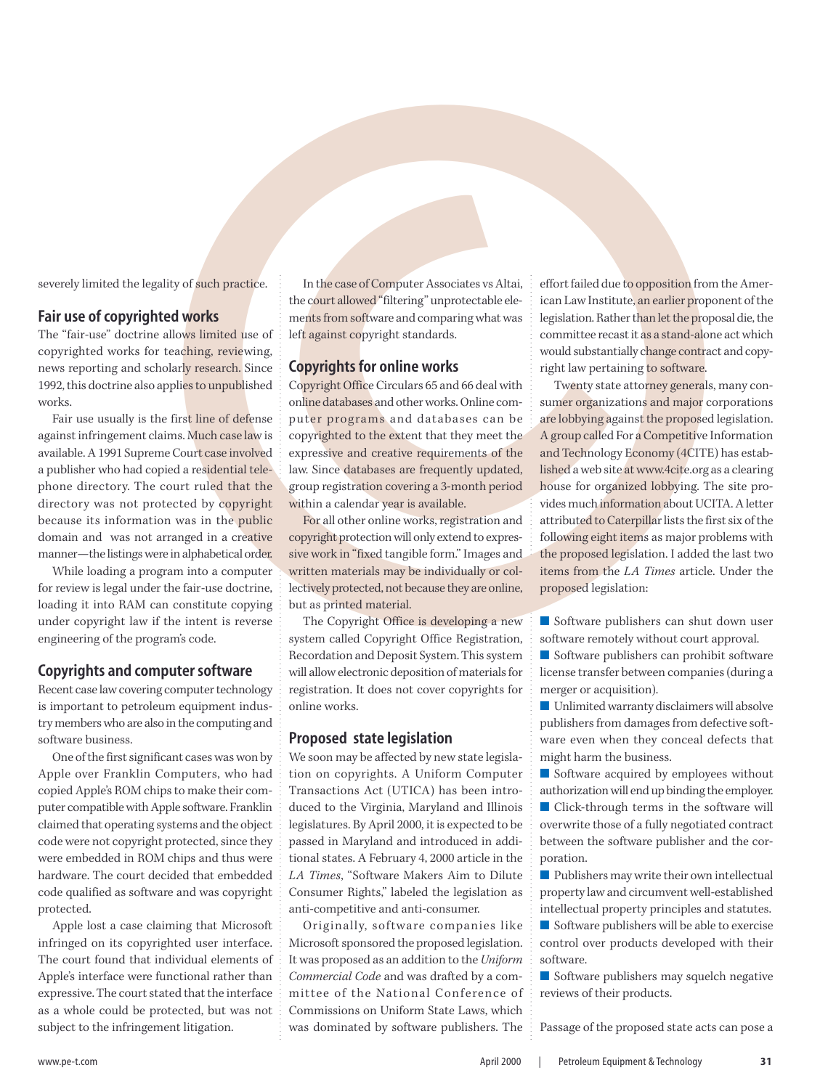severely limited the legality of such practice.

#### **Fair use of copyrighted works**

The "fair-use" doctrine allows limited use of copyrighted works for teaching, reviewing, news reporting and scholarly research. Since 1992, this doctrine also applies to unpublished works.

Fair use usually is the first line of defense against infringement claims. Much case law is available. A 1991 Supreme Court case involved a publisher who had copied a residential telephone directory. The court ruled that the directory was not protected by copyright because its information was in the public domain and was not arranged in a creative manner—the listings were in alphabetical order.

While loading a program into a computer for review is legal under the fair-use doctrine, loading it into RAM can constitute copying under copyright law if the intent is reverse engineering of the program's code.

## **Copyrights and computer software**

Recent case law covering computer technology is important to petroleum equipment industry members who are also in the computing and software business.

One of the first significant cases was won by Apple over Franklin Computers, who had copied Apple's ROM chips to make their computer compatible with Apple software. Franklin claimed that operating systems and the object code were not copyright protected, since they were embedded in ROM chips and thus were hardware. The court decided that embedded code qualified as software and was copyright protected.

Apple lost a case claiming that Microsoft infringed on its copyrighted user interface. The court found that individual elements of Apple's interface were functional rather than expressive. The court stated that the interface as a whole could be protected, but was not subject to the infringement litigation.

In the case of Computer Associates vs Altai, the court allowed "filtering" unprotectable elements from software and comparing what was left against copyright standards.

#### **Copyrights for online works**

Copyright Office Circulars 65 and 66 deal with online databases and other works. Online computer programs and databases can be copyrighted to the extent that they meet the expressive and creative requirements of the law. Since databases are frequently updated, group registration covering a 3-month period within a calendar year is available.

For all other online works, registration and copyright protection will only extend to expressive work in "fixed tangible form." Images and written materials may be individually or collectively protected, not because they are online, but as printed material.

The Copyright Office is developing a new system called Copyright Office Registration, Recordation and Deposit System. This system will allow electronic deposition of materials for registration. It does not cover copyrights for online works.

#### **Proposed state legislation**

 We soon may be affected by new state legislation on copyrights. A Uniform Computer Transactions Act (UTICA) has been introduced to the Virginia, Maryland and Illinois legislatures. By April 2000, it is expected to be passed in Maryland and introduced in additional states. A February 4, 2000 article in the *LA Times*, "Software Makers Aim to Dilute Consumer Rights," labeled the legislation as anti-competitive and anti-consumer.

Originally, software companies like Microsoft sponsored the proposed legislation. It was proposed as an addition to the *Uniform Commercial Code* and was drafted by a committee of the National Conference of Commissions on Uniform State Laws, which was dominated by software publishers. The effort failed due to opposition from the American Law Institute, an earlier proponent of the legislation. Rather than let the proposal die, the committee recast it as a stand-alone act which would substantially change contract and copyright law pertaining to software.

Finited the logitby of and hyperators. The figures of Computer Associates A flat, effect failed due on presiment for the original of the control of the control of the control of the control of the control of the control of Twenty state attorney generals, many consumer organizations and major corporations are lobbying against the proposed legislation. A group called For a Competitive Information and Technology Economy (4CITE) has established a web site at www.4cite.org as a clearing house for organized lobbying. The site provides much information about UCITA. A letter attributed to Caterpillar lists the first six of the following eight items as major problems with the proposed legislation. I added the last two items from the *LA Times* article. Under the proposed legislation:

■ Software publishers can shut down user software remotely without court approval.

■ Software publishers can prohibit software license transfer between companies (during a merger or acquisition).

■ Unlimited warranty disclaimers will absolve publishers from damages from defective software even when they conceal defects that might harm the business.

■ Software acquired by employees without authorization will end up binding the employer. ■ Click-through terms in the software will overwrite those of a fully negotiated contract

between the software publisher and the corporation.

■ Publishers may write their own intellectual property law and circumvent well-established intellectual property principles and statutes.

■ Software publishers will be able to exercise control over products developed with their software.

■ Software publishers may squelch negative reviews of their products.

Passage of the proposed state acts can pose a